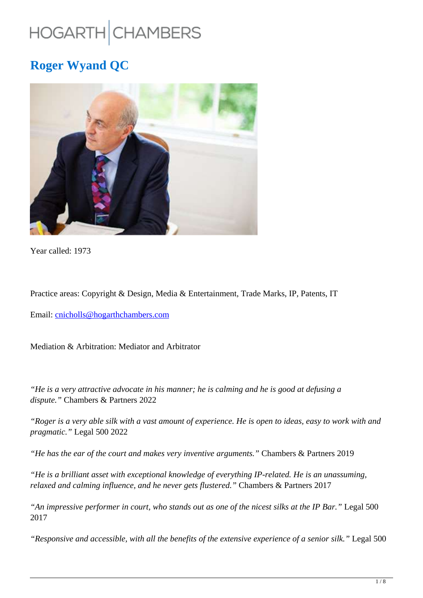# HOGARTH CHAMBERS

# **Roger Wyand QC**



Year called: 1973

Practice areas: Copyright & Design, Media & Entertainment, Trade Marks, IP, Patents, IT

Email: cnicholls@hogarthchambers.com

Mediation & Arbitration: Mediator and Arbitrator

*"He is a very attractive advocate in his manner; he is calming and he is good at defusing a dispute."* Chambers & Partners 2022

*"Roger is a very able silk with a vast amount of experience. He is open to ideas, easy to work with and pragmatic."* Legal 500 2022

*"He has the ear of the court and makes very inventive arguments."* Chambers & Partners 2019

*"He is a brilliant asset with exceptional knowledge of everything IP-related. He is an unassuming, relaxed and calming influence, and he never gets flustered."* Chambers & Partners 2017

*"An impressive performer in court, who stands out as one of the nicest silks at the IP Bar."* Legal 500 2017

*"Responsive and accessible, with all the benefits of the extensive experience of a senior silk."* Legal 500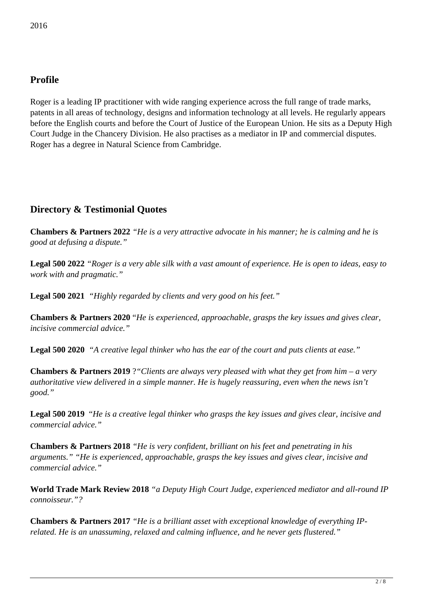### **Profile**

Roger is a leading IP practitioner with wide ranging experience across the full range of trade marks, patents in all areas of technology, designs and information technology at all levels. He regularly appears before the English courts and before the Court of Justice of the European Union. He sits as a Deputy High Court Judge in the Chancery Division. He also practises as a mediator in IP and commercial disputes. Roger has a degree in Natural Science from Cambridge.

# **Directory & Testimonial Quotes**

**Chambers & Partners 2022** *"He is a very attractive advocate in his manner; he is calming and he is good at defusing a dispute."*

**Legal 500 2022** *"Roger is a very able silk with a vast amount of experience. He is open to ideas, easy to work with and pragmatic."*

**Legal 500 2021** *"Highly regarded by clients and very good on his feet."*

**Chambers & Partners 2020** "*He is experienced, approachable, grasps the key issues and gives clear, incisive commercial advice."*

**Legal 500 2020** *"A creative legal thinker who has the ear of the court and puts clients at ease."*

**Chambers & Partners 2019** ?*"Clients are always very pleased with what they get from him – a very authoritative view delivered in a simple manner. He is hugely reassuring, even when the news isn't good."*

**Legal 500 2019** "*He is a creative legal thinker who grasps the key issues and gives clear, incisive and commercial advice."*

**Chambers & Partners 2018** *"He is very confident, brilliant on his feet and penetrating in his arguments." "He is experienced, approachable, grasps the key issues and gives clear, incisive and commercial advice."*

**World Trade Mark Review 2018** *"a Deputy High Court Judge, experienced mediator and all-round IP connoisseur."?*

**Chambers & Partners 2017** *"He is a brilliant asset with exceptional knowledge of everything IPrelated. He is an unassuming, relaxed and calming influence, and he never gets flustered."*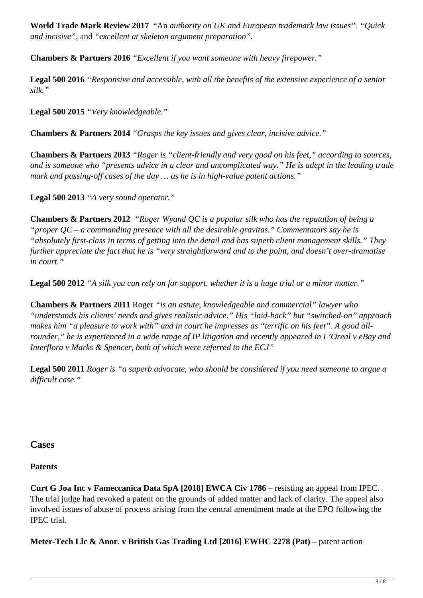**World Trade Mark Review 2017** "An *authority on UK and European trademark law issues". "Quick and incisive"*, and *"excellent at skeleton argument preparation".*

**Chambers & Partners 2016** *"Excellent if you want someone with heavy firepower."*

**Legal 500 2016** *"Responsive and accessible, with all the benefits of the extensive experience of a senior silk."* 

**Legal 500 2015** *"Very knowledgeable."*

**Chambers & Partners 2014** *"Grasps the key issues and gives clear, incisive advice."* 

**Chambers & Partners 2013** *"Roger is "client-friendly and very good on his feet," according to sources, and is someone who "presents advice in a clear and uncomplicated way." He is adept in the leading trade mark and passing-off cases of the day … as he is in high-value patent actions."*

**Legal 500 2013** *"A very sound operator."*

**Chambers & Partners 2012** *"Roger Wyand QC is a popular silk who has the reputation of being a "proper QC – a commanding presence with all the desirable gravitas." Commentators say he is "absolutely first-class in terms of getting into the detail and has superb client management skills." They further appreciate the fact that he is "very straightforward and to the point, and doesn't over-dramatise in court."*

**Legal 500 2012** *"A silk you can rely on for support, whether it is a huge trial or a minor matter."*

**Chambers & Partners 2011** Roger *"is an astute, knowledgeable and commercial" lawyer who "understands his clients' needs and gives realistic advice." His "laid-back" but "switched-on" approach makes him "a pleasure to work with" and in court he impresses as "terrific on his feet". A good allrounder," he is experienced in a wide range of IP litigation and recently appeared in L'Oreal v eBay and Interflora v Marks & Spencer, both of which were referred to the ECJ"*

**Legal 500 2011** *Roger is "a superb advocate, who should be considered if you need someone to argue a difficult case."*

**Cases**

#### **Patents**

**Curt G Joa Inc v Fameccanica Data SpA [2018] EWCA Civ 1786** – resisting an appeal from IPEC. The trial judge had revoked a patent on the grounds of added matter and lack of clarity. The appeal also involved issues of abuse of process arising from the central amendment made at the EPO following the IPEC trial.

**Meter-Tech Llc & Anor. v British Gas Trading Ltd [2016] EWHC 2278 (Pat)** – patent action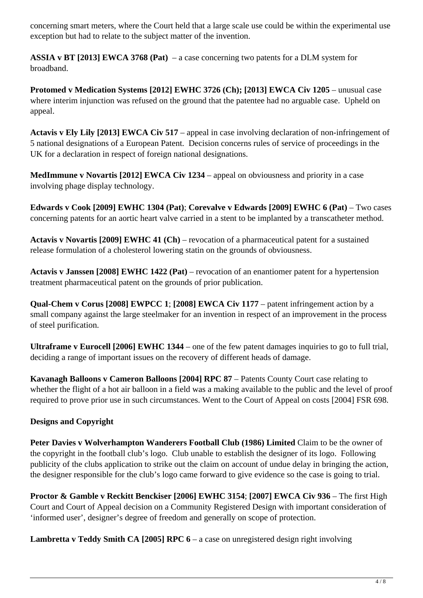concerning smart meters, where the Court held that a large scale use could be within the experimental use exception but had to relate to the subject matter of the invention.

**ASSIA v BT [2013] EWCA 3768 (Pat)** – a case concerning two patents for a DLM system for broadband.

**Protomed v Medication Systems [2012] EWHC 3726 (Ch); [2013] EWCA Civ 1205** – unusual case where interim injunction was refused on the ground that the patentee had no arguable case. Upheld on appeal.

**Actavis v Ely Lily [2013] EWCA Civ 517** – appeal in case involving declaration of non-infringement of 5 national designations of a European Patent. Decision concerns rules of service of proceedings in the UK for a declaration in respect of foreign national designations.

**MedImmune v Novartis [2012] EWCA Civ 1234** – appeal on obviousness and priority in a case involving phage display technology.

**Edwards v Cook [2009] EWHC 1304 (Pat); Corevalve v Edwards [2009] EWHC 6 (Pat) – Two cases** concerning patents for an aortic heart valve carried in a stent to be implanted by a transcatheter method.

**Actavis v Novartis [2009] EWHC 41 (Ch)** – revocation of a pharmaceutical patent for a sustained release formulation of a cholesterol lowering statin on the grounds of obviousness.

**Actavis v Janssen [2008] EWHC 1422 (Pat)** – revocation of an enantiomer patent for a hypertension treatment pharmaceutical patent on the grounds of prior publication.

**Qual-Chem v Corus [2008] EWPCC 1**; **[2008] EWCA Civ 1177** – patent infringement action by a small company against the large steelmaker for an invention in respect of an improvement in the process of steel purification.

**Ultraframe v Eurocell [2006] EWHC 1344** – one of the few patent damages inquiries to go to full trial, deciding a range of important issues on the recovery of different heads of damage.

**Kavanagh Balloons v Cameron Balloons [2004] RPC 87** – Patents County Court case relating to whether the flight of a hot air balloon in a field was a making available to the public and the level of proof required to prove prior use in such circumstances. Went to the Court of Appeal on costs [2004] FSR 698.

#### **Designs and Copyright**

Peter Davies v Wolverhampton Wanderers Football Club (1986) Limited Claim to be the owner of the copyright in the football club's logo. Club unable to establish the designer of its logo. Following publicity of the clubs application to strike out the claim on account of undue delay in bringing the action, the designer responsible for the club's logo came forward to give evidence so the case is going to trial.

**Proctor & Gamble v Reckitt Benckiser [2006] EWHC 3154**; **[2007] EWCA Civ 936** – The first High Court and Court of Appeal decision on a Community Registered Design with important consideration of 'informed user', designer's degree of freedom and generally on scope of protection.

**Lambretta v Teddy Smith CA [2005] RPC 6** – a case on unregistered design right involving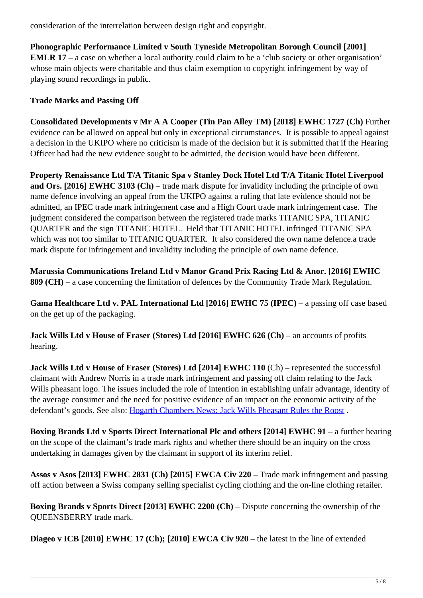consideration of the interrelation between design right and copyright.

**Phonographic Performance Limited v South Tyneside Metropolitan Borough Council [2001] EMLR 17** – a case on whether a local authority could claim to be a 'club society or other organisation' whose main objects were charitable and thus claim exemption to copyright infringement by way of playing sound recordings in public.

#### **Trade Marks and Passing Off**

**Consolidated Developments v Mr A A Cooper (Tin Pan Alley TM) [2018] EWHC 1727 (Ch)** Further evidence can be allowed on appeal but only in exceptional circumstances. It is possible to appeal against a decision in the UKIPO where no criticism is made of the decision but it is submitted that if the Hearing Officer had had the new evidence sought to be admitted, the decision would have been different.

**Property Renaissance Ltd T/A Titanic Spa v Stanley Dock Hotel Ltd T/A Titanic Hotel Liverpool and Ors. [2016] EWHC 3103 (Ch)** – trade mark dispute for invalidity including the principle of own name defence involving an appeal from the UKIPO against a ruling that late evidence should not be admitted, an IPEC trade mark infringement case and a High Court trade mark infringement case. The judgment considered the comparison between the registered trade marks TITANIC SPA, TITANIC QUARTER and the sign TITANIC HOTEL. Held that TITANIC HOTEL infringed TITANIC SPA which was not too similar to TITANIC OUARTER. It also considered the own name defence a trade mark dispute for infringement and invalidity including the principle of own name defence.

**Marussia Communications Ireland Ltd v Manor Grand Prix Racing Ltd & Anor. [2016] EWHC 809 (CH)** – a case concerning the limitation of defences by the Community Trade Mark Regulation.

**Gama Healthcare Ltd v. PAL International Ltd [2016] EWHC 75 (IPEC) – a passing off case based** on the get up of the packaging.

**Jack Wills Ltd v House of Fraser (Stores) Ltd [2016] EWHC 626 (Ch) – an accounts of profits** hearing.

**Jack Wills Ltd v House of Fraser (Stores) Ltd [2014] EWHC 110** (Ch) – represented the successful claimant with Andrew Norris in a trade mark infringement and passing off claim relating to the Jack Wills pheasant logo. The issues included the role of intention in establishing unfair advantage, identity of the average consumer and the need for positive evidence of an impact on the economic activity of the defendant's goods. See also: Hogarth Chambers News: Jack Wills Pheasant Rules the Roost.

**Boxing Brands Ltd v Sports Direct International Plc and others [2014] EWHC 91** – a further hearing on the scope of the claimant's trade mark rights and whether there should be an inquiry on the cross undertaking in damages given by the claimant in support of its interim relief.

**Assos v Asos [2013] EWHC 2831 (Ch) [2015] EWCA Civ 220** – Trade mark infringement and passing off action between a Swiss company selling specialist cycling clothing and the on-line clothing retailer.

**Boxing Brands v Sports Direct [2013] EWHC 2200 (Ch) – Dispute concerning the ownership of the** QUEENSBERRY trade mark.

**Diageo v ICB [2010] EWHC 17 (Ch); [2010] EWCA Civ 920** – the latest in the line of extended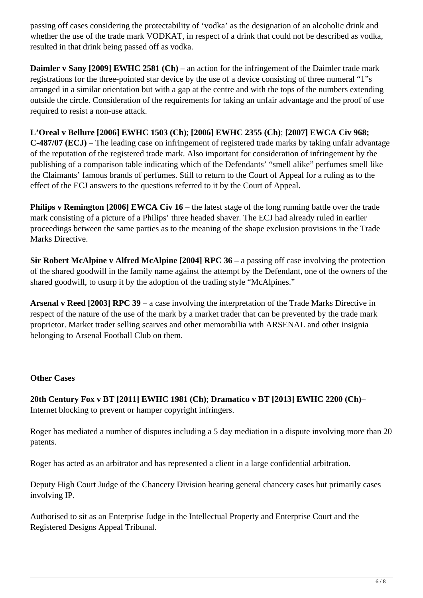passing off cases considering the protectability of 'vodka' as the designation of an alcoholic drink and whether the use of the trade mark VODKAT, in respect of a drink that could not be described as vodka, resulted in that drink being passed off as vodka.

**Daimler v Sany [2009] EWHC 2581 (Ch)** – an action for the infringement of the Daimler trade mark registrations for the three-pointed star device by the use of a device consisting of three numeral "1"s arranged in a similar orientation but with a gap at the centre and with the tops of the numbers extending outside the circle. Consideration of the requirements for taking an unfair advantage and the proof of use required to resist a non-use attack.

**L'Oreal v Bellure [2006] EWHC 1503 (Ch)**; **[2006] EWHC 2355 (Ch)**; **[2007] EWCA Civ 968; C-487/07 (ECJ)** – The leading case on infringement of registered trade marks by taking unfair advantage of the reputation of the registered trade mark. Also important for consideration of infringement by the publishing of a comparison table indicating which of the Defendants' "smell alike" perfumes smell like the Claimants' famous brands of perfumes. Still to return to the Court of Appeal for a ruling as to the effect of the ECJ answers to the questions referred to it by the Court of Appeal.

**Philips v Remington [2006] EWCA Civ 16** – the latest stage of the long running battle over the trade mark consisting of a picture of a Philips' three headed shaver. The ECJ had already ruled in earlier proceedings between the same parties as to the meaning of the shape exclusion provisions in the Trade Marks Directive.

**Sir Robert McAlpine v Alfred McAlpine [2004] RPC 36** – a passing off case involving the protection of the shared goodwill in the family name against the attempt by the Defendant, one of the owners of the shared goodwill, to usurp it by the adoption of the trading style "McAlpines."

**Arsenal v Reed [2003] RPC 39** – a case involving the interpretation of the Trade Marks Directive in respect of the nature of the use of the mark by a market trader that can be prevented by the trade mark proprietor. Market trader selling scarves and other memorabilia with ARSENAL and other insignia belonging to Arsenal Football Club on them.

#### **Other Cases**

**20th Century Fox v BT [2011] EWHC 1981 (Ch)**; **Dramatico v BT [2013] EWHC 2200 (Ch)**– Internet blocking to prevent or hamper copyright infringers.

Roger has mediated a number of disputes including a 5 day mediation in a dispute involving more than 20 patents.

Roger has acted as an arbitrator and has represented a client in a large confidential arbitration.

Deputy High Court Judge of the Chancery Division hearing general chancery cases but primarily cases involving IP.

Authorised to sit as an Enterprise Judge in the Intellectual Property and Enterprise Court and the Registered Designs Appeal Tribunal.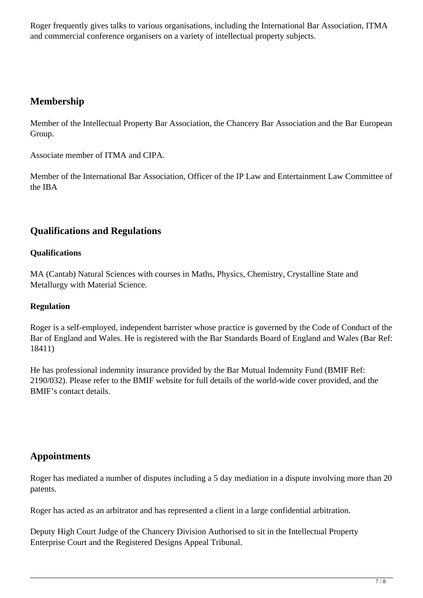Roger frequently gives talks to various organisations, including the International Bar Association, ITMA and commercial conference organisers on a variety of intellectual property subjects.

# **Membership**

Member of the Intellectual Property Bar Association, the Chancery Bar Association and the Bar European Group.

Associate member of ITMA and CIPA.

Member of the International Bar Association, Officer of the IP Law and Entertainment Law Committee of the IBA

# **Qualifications and Regulations**

#### **Qualifications**

MA (Cantab) Natural Sciences with courses in Maths, Physics, Chemistry, Crystalline State and Metallurgy with Material Science.

#### **Regulation**

Roger is a self-employed, independent barrister whose practice is governed by the Code of Conduct of the Bar of England and Wales. He is registered with the Bar Standards Board of England and Wales (Bar Ref: 18411)

He has professional indemnity insurance provided by the Bar Mutual Indemnity Fund (BMIF Ref: 2190/032). Please refer to the BMIF website for full details of the world-wide cover provided, and the BMIF's contact details.

# **Appointments**

Roger has mediated a number of disputes including a 5 day mediation in a dispute involving more than 20 patents.

Roger has acted as an arbitrator and has represented a client in a large confidential arbitration.

Deputy High Court Judge of the Chancery Division Authorised to sit in the Intellectual Property Enterprise Court and the Registered Designs Appeal Tribunal.